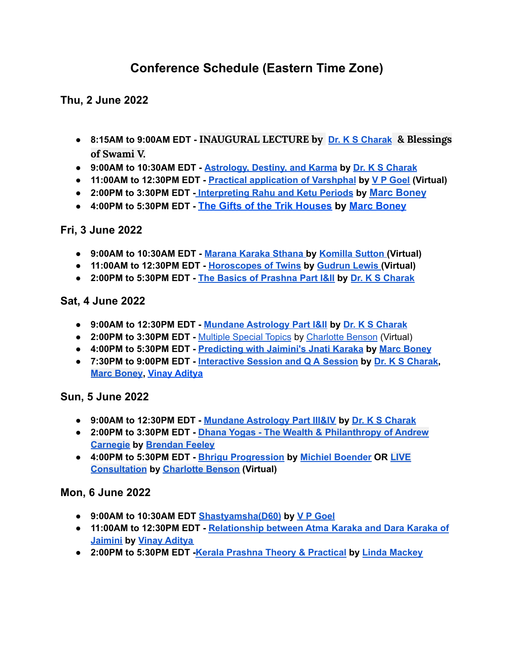# **Conference Schedule (Eastern Time Zone)**

**Thu, 2 June 2022**

- **8:15AM to 9:00AM EDT - INAUGURAL LECTURE by Dr. K S [Charak](https://jyotish.com/dr-ks-charak) & Blessings of Swami V.**
- **9:00AM to 10:30AM EDT - [Astrology,](https://jyotish.com/dr-ks-charak/#topics2022) Destiny, and Karma by Dr. K S [Charak](https://jyotish.com/dr-ks-charak)**
- **11:00AM to 12:30PM EDT - Practical [application](https://jyotish.com/v-p-goel/#topics2022) of Varshphal by V P [Goel](https://jyotish.com/v-p-goel) (Virtual)**
- **2:00PM to 3:30PM EDT [-](https://jyotish.com/dr-ks-charak/#topics2022) [Interpreting](https://jyotish.com/marc-boney-2/#topics2022) Rahu and Ketu Periods by [Marc Boney](https://jyotish.com/marc-boney-2/)**
- **4:00PM to 5:30PM EDT - [The Gifts of the Trik Houses](https://jyotish.com/marc-boney-2/#topics2022) by [Marc Boney](https://jyotish.com/marc-boney-2/)**

#### **Fri, 3 June 2022**

- **● 9:00AM to 10:30AM EDT - [Marana](https://jyotish.com/komillasutton/#topics2022) Karaka Sthana by [Komilla](https://jyotish.com/komillasutton) Sutton (Virtual)**
- **● 11:00AM to 12:30PM EDT - [Horoscopes](https://jyotish.com/gudrun_lewis/#topics2022) of Twins by [Gudrun](https://jyotish.com/gudrun_lewis) Lewis (Virtual)**
- **● 2:00PM to 5:30PM EDT - The Basics of [Prashna](https://jyotish.com/dr-ks-charak/#topics2022) Part I&II by Dr. K S [Charak](https://jyotish.com/dr-ks-charak)**

**Sat, 4 June 2022**

- **● 9:00AM to 12:30PM EDT - Mundane [Astrology](https://jyotish.com/dr-ks-charak/#topics2022) Part I&II by Dr. K S [Charak](https://jyotish.com/dr-ks-charak)**
- **● 2:00PM to 3:30PM EDT -** [Multiple](https://jyotish.com/charlottebenson/#topics2022) Special Topics by [Charlotte](https://jyotish.com/charlottebenson) Benson (Virtual)
- **● 4:00PM to 5:30PM EDT - [Predicting](https://jyotish.com/marc-boney-2/#topics2022) with Jaimini's Jnati Karaka by Marc [Boney](https://jyotish.com/marc-boney-2/)**
- **● 7:30PM to 9:00PM EDT - [Interactive](https://jyotish.com/dr-ks-charak/#topics2022) Session and Q A Session by Dr. K S [Charak](https://jyotish.com/dr-ks-charak), Marc [Boney](https://jyotish.com/marc-boney-2/), Vinay [Aditya](https://jyotish.com/vinay-aditya)**

## **Sun, 5 June 2022**

- **9:00AM to 12:30PM EDT - Mundane [Astrology](https://jyotish.com/dr-ks-charak/#topics2022) Part III&IV by Dr. K S [Charak](https://jyotish.com/dr-ks-charak)**
- **2:00PM to 3:30PM EDT - Dhana Yogas - The Wealth & [Philanthropy](https://jyotish.com/brendan-feeley/#topics2022) of Andrew [Carnegie](https://jyotish.com/brendan-feeley/#topics2022) by [Brendan](https://jyotish.com/brendan-feeley) Feeley**
- **4:00PM to 5:30PM EDT - Bhrigu [Progression](https://jyotish.com/michielboender/#topics2022) by Michiel [Boender](https://jyotish.com/michielboender) OR [LIVE](https://jyotish.com/charlottebenson/#topics2022) [Consultation](https://jyotish.com/charlottebenson/#topics2022) by [Charlotte](https://jyotish.com/charlottebenson/) Benson (Virtual)**

## **Mon, 6 June 2022**

- **● 9:00AM to 10:30AM EDT [Shastyamsha\(D60\)](https://jyotish.com/v-p-goel/#topics2022) by V P [Goel](https://jyotish.com/v-p-goel)**
- **● 11:00AM to 12:30PM EDT - [Relationship](https://jyotish.com/vinay-aditya/#topics2022) between Atma Karaka and Dara Karaka of [Jaimini](https://jyotish.com/vinay-aditya/#topics2022) by Vinay [Aditya](https://jyotish.com/vinay-aditya)**
- **● 2:00PM to 5:30PM EDT -Kerala Prashna Theory & [Practical](https://jyotish.com/linda-mackey/#topics2022) by Linda [Mackey](https://jyotish.com/linda-mackey/)**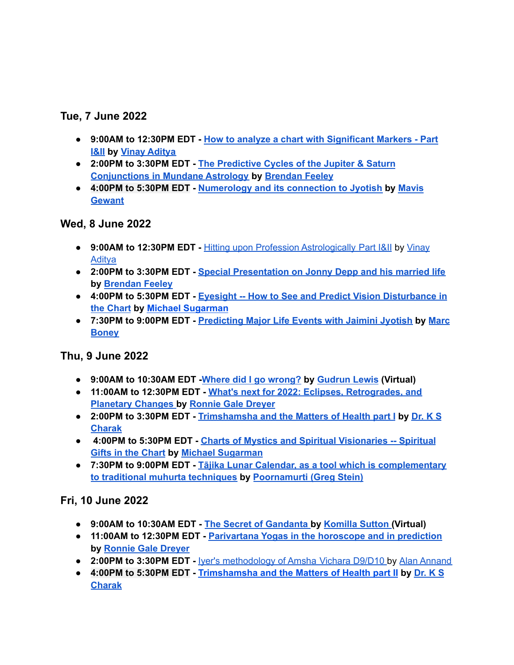## **Tue, 7 June 2022**

- **● 9:00AM to 12:30PM EDT - How to analyze a chart with [Significant](https://jyotish.com/vinay-aditya/#topics2022) Markers - Part [I&II](https://jyotish.com/vinay-aditya/#topics2022) by Vinay [Aditya](https://jyotish.com/vinay-aditya)**
- **● 2:00PM to 3:30PM EDT - The [Predictive](https://jyotish.com/brendan-feeley/topics2022) Cycles of the Jupiter & Saturn [Conjunctions](https://jyotish.com/brendan-feeley/topics2022) in Mundane Astrology by [Brendan](https://jyotish.com/brendan-feeley) Feeley**
- **● 4:00PM to 5:30PM EDT - [Numerology](https://jyotish.com/mavis-gewant/#topics2022) and its connection to Jyotish by [Mavis](https://jyotish.com/mavis-gewant/) [Gewant](https://jyotish.com/mavis-gewant/)**

## **Wed, 8 June 2022**

- **● 9:00AM to 12:30PM EDT -** Hitting upon Profession [Astrologically](https://jyotish.com/vinay-aditya/#topics2022) Part I&II by [Vinay](https://jyotish.com/vinay-aditya) [Aditya](https://jyotish.com/vinay-aditya)
- **● 2:00PM to 3:30PM EDT - Special [Presentation](https://jyotish.com/brendan-feeley/#topics2022) on Jonny Depp and his married life by [Brendan](https://jyotish.com/brendan-feeley) Feeley**
- **● 4:00PM to 5:30PM EDT - Eyesight -- How to See and Predict Vision [Disturbance](https://jyotish.com/michaelsugarman/#topics2022) in the [Chart](https://jyotish.com/michaelsugarman/#topics2022) by Michael [Sugarman](https://jyotish.com/michaelsugarman/)**
- **● 7:30PM to 9:00PM EDT - [Predicting](https://jyotish.com/marc-boney-2/#topics2022) Major Life Events with Jaimini Jyotish by [Marc](https://jyotish.com/marc-boney-2/) [Boney](https://jyotish.com/marc-boney-2/)**

## **Thu, 9 June 2022**

- **● 9:00AM to 10:30AM EDT -Where did I go [wrong?](https://jyotish.com/gudrun_lewis/#topics2022) by [Gudrun](https://jyotish.com/gudrun_lewis/) Lewis (Virtual)**
- **● 11:00AM to 12:30PM EDT - What's next for 2022: Eclipses, [Retrogrades,](https://jyotish.com/ronnie_gale_dreyer/#topics2022) and [Planetary](https://jyotish.com/ronnie_gale_dreyer/#topics2022) Changes by [Ronnie](https://jyotish.com/ronnie_gale_dreyer) Gale Dreyer**
- **● 2:00PM to 3:30PM EDT - [Trimshamsha](https://jyotish.com/dr-ks-charak/#topics2022) and the Matters of Health part I by [Dr.](https://jyotish.com/dr-ks-charak) K S [Charak](https://jyotish.com/dr-ks-charak)**
- **● 4:00PM to 5:30PM EDT - Charts of Mystics and Spiritual [Visionaries](https://jyotish.com/michaelsugarman/#topics2022) -- Spiritual Gifts in the [Chart](https://jyotish.com/michaelsugarman/#topics2022) by Michael [Sugarman](https://jyotish.com/michaelsugarman/)**
- **● 7:30PM to 9:00PM EDT - Tājika Lunar Calendar, as a tool which is [complementary](https://jyotish.com/poornamurti/#topics2022) to traditional muhurta [techniques](https://jyotish.com/poornamurti/#topics2022) by [Poornamurti](https://jyotish.com/poornamurti/) (Greg Stein)**

## **Fri, 10 June 2022**

- **● 9:00AM to 10:30AM EDT - The Secret of [Gandanta](https://jyotish.com/komillasutton/#topics2022) by [Komilla](https://jyotish.com/komillasutton) Sutton (Virtual)**
- **● 11:00AM to 12:30PM EDT - [Parivartana](https://jyotish.com/ronnie_gale_dreyer/#topics2022) Yogas in the horoscope and in prediction by [Ronnie](https://jyotish.com/ronnie_gale_dreyer) Gale Dreyer**
- **● 2:00PM to 3:30PM EDT -** Iyer's [methodology](https://jyotish.com/alan-annand/#topics2022) of Amsha Vichara D9/D10 by Alan [Annand](https://jyotish.com/alan-annand)
- **● 4:00PM to 5:30PM EDT - [Trimshamsha](https://jyotish.com/dr-ks-charak/#topics2022) and the Matters of Health part II by [Dr.](https://jyotish.com/dr-ks-charak) K S [Charak](https://jyotish.com/dr-ks-charak)**